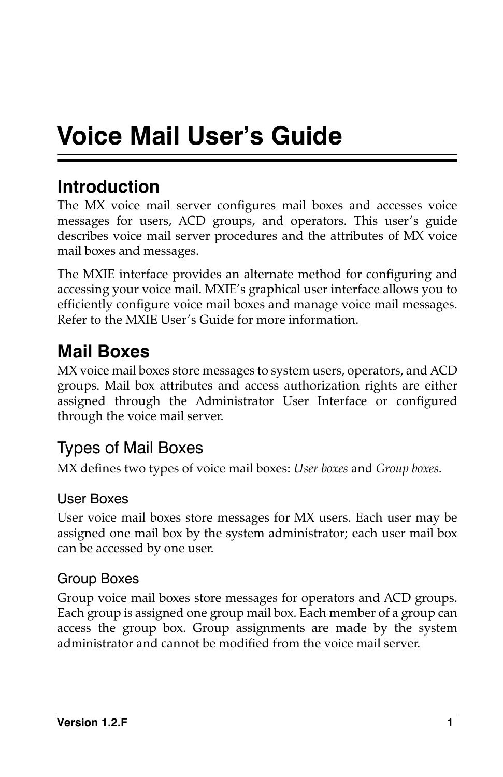# **Voice Mail User's Guide**

# **Introduction**

The MX voice mail server configures mail boxes and accesses voice messages for users, ACD groups, and operators. This user's guide describes voice mail server procedures and the attributes of MX voice mail boxes and messages.

The MXIE interface provides an alternate method for configuring and accessing your voice mail. MXIE's graphical user interface allows you to efficiently configure voice mail boxes and manage voice mail messages. Refer to the MXIE User's Guide for more information.

# **Mail Boxes**

MX voice mail boxes store messages to system users, operators, and ACD groups. Mail box attributes and access authorization rights are either assigned through the Administrator User Interface or configured through the voice mail server.

# Types of Mail Boxes

MX defines two types of voice mail boxes: *User boxes* and *Group boxes*.

### User Boxes

User voice mail boxes store messages for MX users. Each user may be assigned one mail box by the system administrator; each user mail box can be accessed by one user.

### Group Boxes

Group voice mail boxes store messages for operators and ACD groups. Each group is assigned one group mail box. Each member of a group can access the group box. Group assignments are made by the system administrator and cannot be modified from the voice mail server.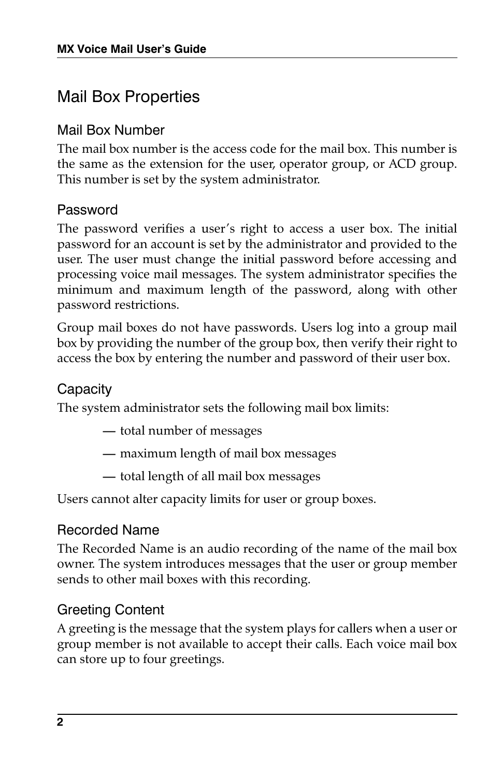### Mail Box Properties

#### Mail Box Number

The mail box number is the access code for the mail box. This number is the same as the extension for the user, operator group, or ACD group. This number is set by the system administrator.

#### Password

The password verifies a user's right to access a user box. The initial password for an account is set by the administrator and provided to the user. The user must change the initial password before accessing and processing voice mail messages. The system administrator specifies the minimum and maximum length of the password, along with other password restrictions.

Group mail boxes do not have passwords. Users log into a group mail box by providing the number of the group box, then verify their right to access the box by entering the number and password of their user box.

#### Capacity

The system administrator sets the following mail box limits:

- **—** total number of messages
- **—** maximum length of mail box messages
- **—** total length of all mail box messages

Users cannot alter capacity limits for user or group boxes.

#### Recorded Name

The Recorded Name is an audio recording of the name of the mail box owner. The system introduces messages that the user or group member sends to other mail boxes with this recording.

#### Greeting Content

A greeting is the message that the system plays for callers when a user or group member is not available to accept their calls. Each voice mail box can store up to four greetings.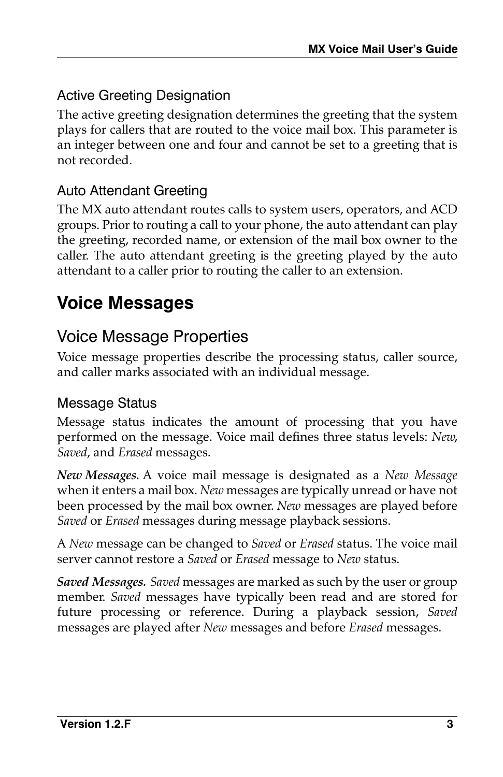### Active Greeting Designation

The active greeting designation determines the greeting that the system plays for callers that are routed to the voice mail box. This parameter is an integer between one and four and cannot be set to a greeting that is not recorded.

### Auto Attendant Greeting

The MX auto attendant routes calls to system users, operators, and ACD groups. Prior to routing a call to your phone, the auto attendant can play the greeting, recorded name, or extension of the mail box owner to the caller. The auto attendant greeting is the greeting played by the auto attendant to a caller prior to routing the caller to an extension.

# **Voice Messages**

# Voice Message Properties

Voice message properties describe the processing status, caller source, and caller marks associated with an individual message.

#### Message Status

Message status indicates the amount of processing that you have performed on the message. Voice mail defines three status levels: *New*, *Saved*, and *Erased* messages.

*New Messages.* A voice mail message is designated as a *New Message* when it enters a mail box. *New* messages are typically unread or have not been processed by the mail box owner. *New* messages are played before *Saved* or *Erased* messages during message playback sessions.

A *New* message can be changed to *Saved* or *Erased* status. The voice mail server cannot restore a *Saved* or *Erased* message to *New* status.

*Saved Messages. Saved* messages are marked as such by the user or group member. *Saved* messages have typically been read and are stored for future processing or reference. During a playback session, *Saved* messages are played after *New* messages and before *Erased* messages.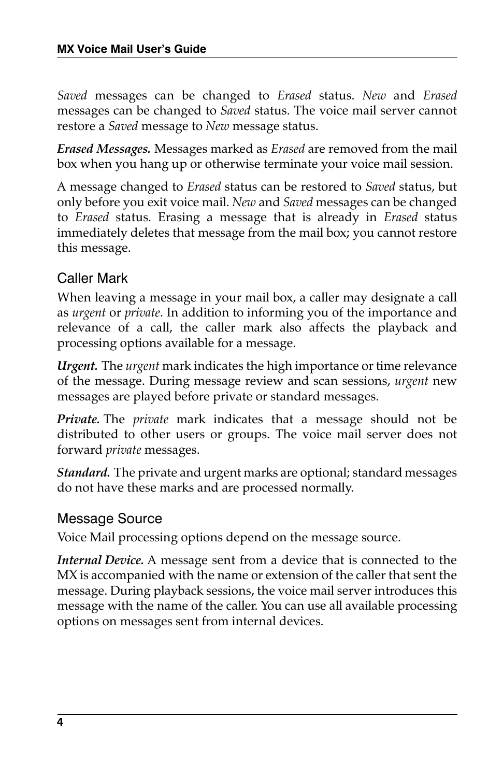*Saved* messages can be changed to *Erased* status. *New* and *Erased* messages can be changed to *Saved* status. The voice mail server cannot restore a *Saved* message to *New* message status.

*Erased Messages.* Messages marked as *Erased* are removed from the mail box when you hang up or otherwise terminate your voice mail session.

A message changed to *Erased* status can be restored to *Saved* status, but only before you exit voice mail. *New* and *Saved* messages can be changed to *Erased* status. Erasing a message that is already in *Erased* status immediately deletes that message from the mail box; you cannot restore this message.

### Caller Mark

When leaving a message in your mail box, a caller may designate a call as *urgent* or *private*. In addition to informing you of the importance and relevance of a call, the caller mark also affects the playback and processing options available for a message.

*Urgent.* The *urgent* mark indicates the high importance or time relevance of the message. During message review and scan sessions, *urgent* new messages are played before private or standard messages.

*Private.* The *private* mark indicates that a message should not be distributed to other users or groups. The voice mail server does not forward *private* messages.

*Standard.* The private and urgent marks are optional; standard messages do not have these marks and are processed normally.

#### Message Source

Voice Mail processing options depend on the message source.

*Internal Device.* A message sent from a device that is connected to the MX is accompanied with the name or extension of the caller that sent the message. During playback sessions, the voice mail server introduces this message with the name of the caller. You can use all available processing options on messages sent from internal devices.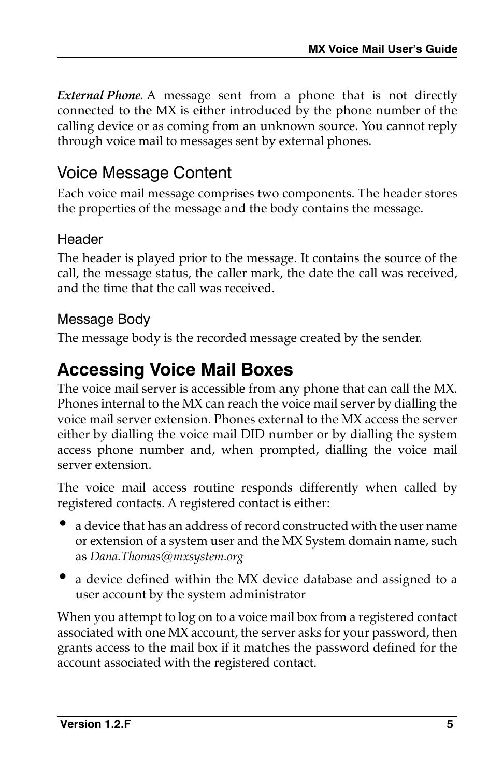*External Phone.* A message sent from a phone that is not directly connected to the MX is either introduced by the phone number of the calling device or as coming from an unknown source. You cannot reply through voice mail to messages sent by external phones.

### Voice Message Content

Each voice mail message comprises two components. The header stores the properties of the message and the body contains the message.

### **Header**

The header is played prior to the message. It contains the source of the call, the message status, the caller mark, the date the call was received, and the time that the call was received.

### Message Body

The message body is the recorded message created by the sender.

# **Accessing Voice Mail Boxes**

The voice mail server is accessible from any phone that can call the MX. Phones internal to the MX can reach the voice mail server by dialling the voice mail server extension. Phones external to the MX access the server either by dialling the voice mail DID number or by dialling the system access phone number and, when prompted, dialling the voice mail server extension.

The voice mail access routine responds differently when called by registered contacts. A registered contact is either:

- a device that has an address of record constructed with the user name or extension of a system user and the MX System domain name, such as *Dana.Thomas@mxsystem.org*
- a device defined within the MX device database and assigned to a user account by the system administrator

When you attempt to log on to a voice mail box from a registered contact associated with one MX account, the server asks for your password, then grants access to the mail box if it matches the password defined for the account associated with the registered contact.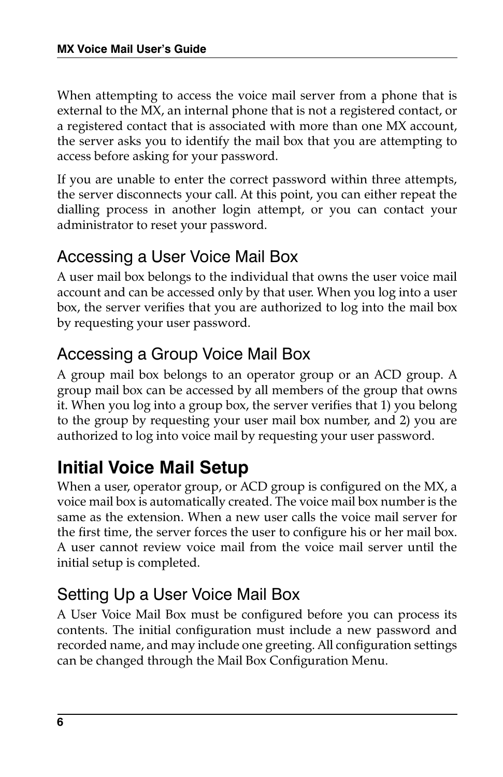When attempting to access the voice mail server from a phone that is external to the MX, an internal phone that is not a registered contact, or a registered contact that is associated with more than one MX account, the server asks you to identify the mail box that you are attempting to access before asking for your password.

If you are unable to enter the correct password within three attempts, the server disconnects your call. At this point, you can either repeat the dialling process in another login attempt, or you can contact your administrator to reset your password.

### Accessing a User Voice Mail Box

A user mail box belongs to the individual that owns the user voice mail account and can be accessed only by that user. When you log into a user box, the server verifies that you are authorized to log into the mail box by requesting your user password.

# Accessing a Group Voice Mail Box

A group mail box belongs to an operator group or an ACD group. A group mail box can be accessed by all members of the group that owns it. When you log into a group box, the server verifies that 1) you belong to the group by requesting your user mail box number, and 2) you are authorized to log into voice mail by requesting your user password.

# **Initial Voice Mail Setup**

When a user, operator group, or ACD group is configured on the MX, a voice mail box is automatically created. The voice mail box number is the same as the extension. When a new user calls the voice mail server for the first time, the server forces the user to configure his or her mail box. A user cannot review voice mail from the voice mail server until the initial setup is completed.

# Setting Up a User Voice Mail Box

A User Voice Mail Box must be configured before you can process its contents. The initial configuration must include a new password and recorded name, and may include one greeting. All configuration settings can be changed through the Mail Box Configuration Menu.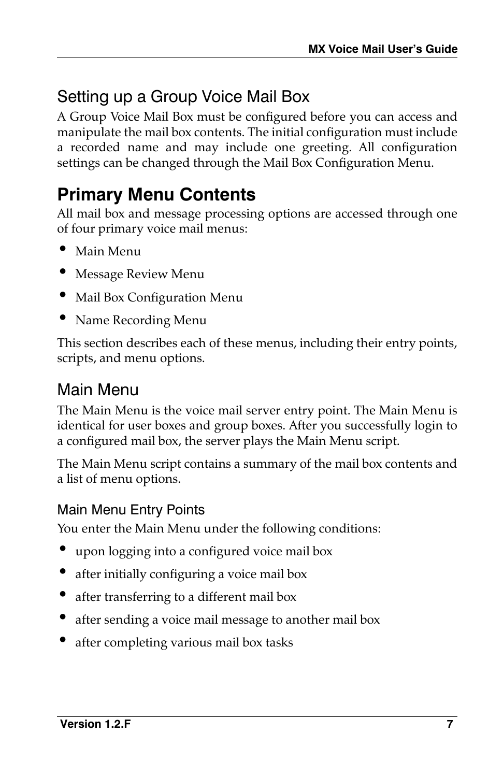# Setting up a Group Voice Mail Box

A Group Voice Mail Box must be configured before you can access and manipulate the mail box contents. The initial configuration must include a recorded name and may include one greeting. All configuration settings can be changed through the Mail Box Configuration Menu.

# **Primary Menu Contents**

All mail box and message processing options are accessed through one of four primary voice mail menus:

- Main Menu
- Message Review Menu
- Mail Box Configuration Menu
- Name Recording Menu

This section describes each of these menus, including their entry points, scripts, and menu options.

### Main Menu

The Main Menu is the voice mail server entry point. The Main Menu is identical for user boxes and group boxes. After you successfully login to a configured mail box, the server plays the Main Menu script.

The Main Menu script contains a summary of the mail box contents and a list of menu options.

### Main Menu Entry Points

You enter the Main Menu under the following conditions:

- upon logging into a configured voice mail box
- after initially configuring a voice mail box
- after transferring to a different mail box
- after sending a voice mail message to another mail box
- after completing various mail box tasks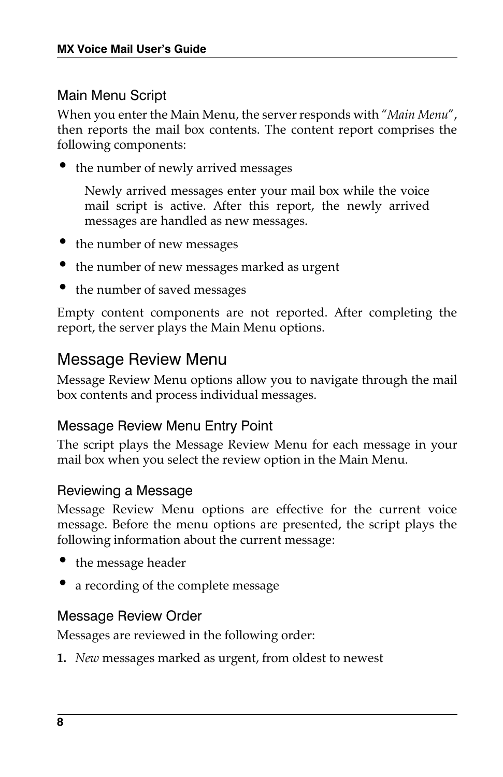### Main Menu Script

When you enter the Main Menu, the server responds with "*Main Menu*", then reports the mail box contents. The content report comprises the following components:

• the number of newly arrived messages

Newly arrived messages enter your mail box while the voice mail script is active. After this report, the newly arrived messages are handled as new messages.

- the number of new messages
- the number of new messages marked as urgent
- the number of saved messages

Empty content components are not reported. After completing the report, the server plays the Main Menu options.

### <span id="page-7-0"></span>Message Review Menu

Message Review Menu options allow you to navigate through the mail box contents and process individual messages.

#### Message Review Menu Entry Point

The script plays the Message Review Menu for each message in your mail box when you select the review option in the Main Menu.

#### Reviewing a Message

Message Review Menu options are effective for the current voice message. Before the menu options are presented, the script plays the following information about the current message:

- the message header
- a recording of the complete message

#### Message Review Order

Messages are reviewed in the following order:

**1.** *New* messages marked as urgent, from oldest to newest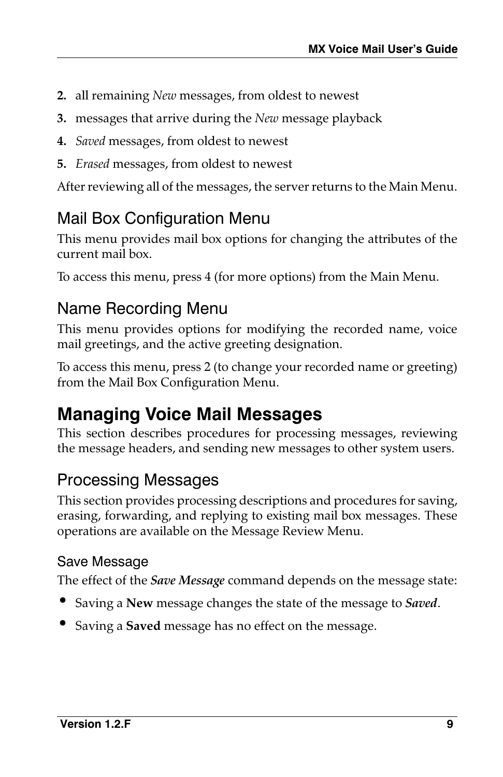- **2.** all remaining *New* messages, from oldest to newest
- **3.** messages that arrive during the *New* message playback
- **4.** *Saved* messages, from oldest to newest
- **5.** *Erased* messages, from oldest to newest

After reviewing all of the messages, the server returns to the Main Menu.

### <span id="page-8-0"></span>Mail Box Configuration Menu

This menu provides mail box options for changing the attributes of the current mail box.

To access this menu, press 4 (for more options) from the Main Menu.

### Name Recording Menu

This menu provides options for modifying the recorded name, voice mail greetings, and the active greeting designation.

To access this menu, press 2 (to change your recorded name or greeting) from the Mail Box Configuration Menu.

# **Managing Voice Mail Messages**

This section describes procedures for processing messages, reviewing the message headers, and sending new messages to other system users.

### Processing Messages

This section provides processing descriptions and procedures for saving, erasing, forwarding, and replying to existing mail box messages. These operations are available on the Message Review Menu.

#### Save Message

The effect of the *Save Message* command depends on the message state:

- Saving a **New** message changes the state of the message to *Saved*.
- Saving a **Saved** message has no effect on the message.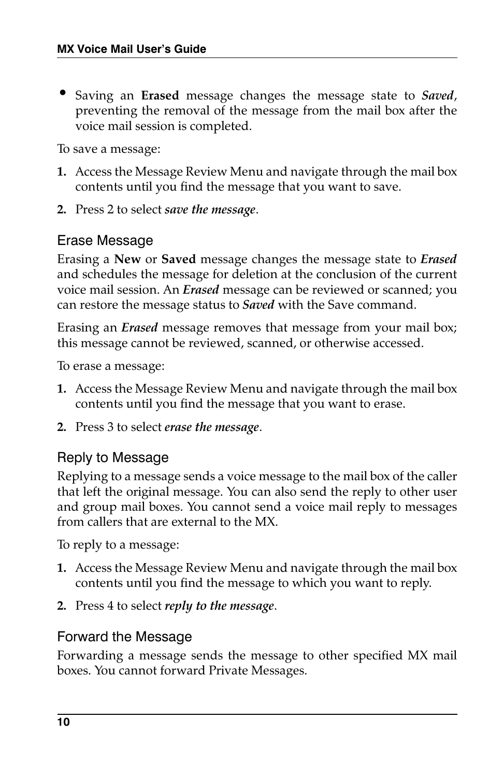• Saving an **Erased** message changes the message state to *Saved*, preventing the removal of the message from the mail box after the voice mail session is completed.

To save a message:

- **1.** Access the Message Review Menu and navigate through the mail box contents until you find the message that you want to save.
- **2.** Press 2 to select *save the message*.

#### Erase Message

Erasing a **New** or **Saved** message changes the message state to *Erased* and schedules the message for deletion at the conclusion of the current voice mail session. An *Erased* message can be reviewed or scanned; you can restore the message status to *Saved* with the Save command.

Erasing an *Erased* message removes that message from your mail box; this message cannot be reviewed, scanned, or otherwise accessed.

To erase a message:

- **1.** Access the Message Review Menu and navigate through the mail box contents until you find the message that you want to erase.
- **2.** Press 3 to select *erase the message*.

#### Reply to Message

Replying to a message sends a voice message to the mail box of the caller that left the original message. You can also send the reply to other user and group mail boxes. You cannot send a voice mail reply to messages from callers that are external to the MX.

To reply to a message:

- **1.** Access the Message Review Menu and navigate through the mail box contents until you find the message to which you want to reply.
- **2.** Press 4 to select *reply to the message*.

#### Forward the Message

Forwarding a message sends the message to other specified MX mail boxes. You cannot forward Private Messages.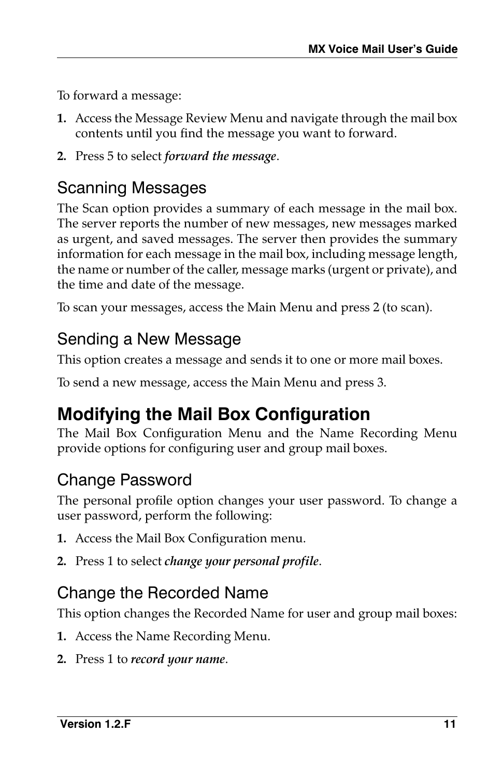To forward a message:

- **1.** Access the [Message Review Menu](#page-7-0) and navigate through the mail box contents until you find the message you want to forward.
- **2.** Press 5 to select *forward the message*.

### Scanning Messages

The Scan option provides a summary of each message in the mail box. The server reports the number of new messages, new messages marked as urgent, and saved messages. The server then provides the summary information for each message in the mail box, including message length, the name or number of the caller, message marks (urgent or private), and the time and date of the message.

To scan your messages, access the Main Menu and press 2 (to scan).

# Sending a New Message

This option creates a message and sends it to one or more mail boxes.

To send a new message, access the Main Menu and press 3.

# **Modifying the Mail Box Configuration**

The Mail Box Configuration Menu and the Name Recording Menu provide options for configuring user and group mail boxes.

# Change Password

The personal profile option changes your user password. To change a user password, perform the following:

- **1.** Access the Mail Box Configuration menu.
- **2.** Press 1 to select *change your personal profile*.

# Change the Recorded Name

This option changes the Recorded Name for user and group mail boxes:

- **1.** Access the Name Recording Menu.
- **2.** Press 1 to *record your name*.